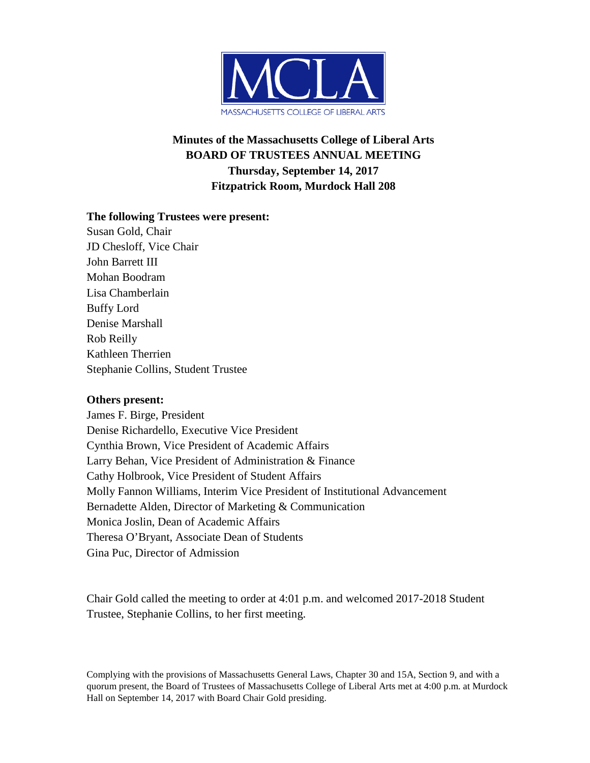

# **Minutes of the Massachusetts College of Liberal Arts BOARD OF TRUSTEES ANNUAL MEETING Thursday, September 14, 2017 Fitzpatrick Room, Murdock Hall 208**

#### **The following Trustees were present:**

Susan Gold, Chair JD Chesloff, Vice Chair John Barrett III Mohan Boodram Lisa Chamberlain Buffy Lord Denise Marshall Rob Reilly Kathleen Therrien Stephanie Collins, Student Trustee

#### **Others present:**

James F. Birge, President Denise Richardello, Executive Vice President Cynthia Brown, Vice President of Academic Affairs Larry Behan, Vice President of Administration & Finance Cathy Holbrook, Vice President of Student Affairs Molly Fannon Williams, Interim Vice President of Institutional Advancement Bernadette Alden, Director of Marketing & Communication Monica Joslin, Dean of Academic Affairs Theresa O'Bryant, Associate Dean of Students Gina Puc, Director of Admission

Chair Gold called the meeting to order at 4:01 p.m. and welcomed 2017-2018 Student Trustee, Stephanie Collins, to her first meeting.

Complying with the provisions of Massachusetts General Laws, Chapter 30 and 15A, Section 9, and with a quorum present, the Board of Trustees of Massachusetts College of Liberal Arts met at 4:00 p.m. at Murdock Hall on September 14, 2017 with Board Chair Gold presiding.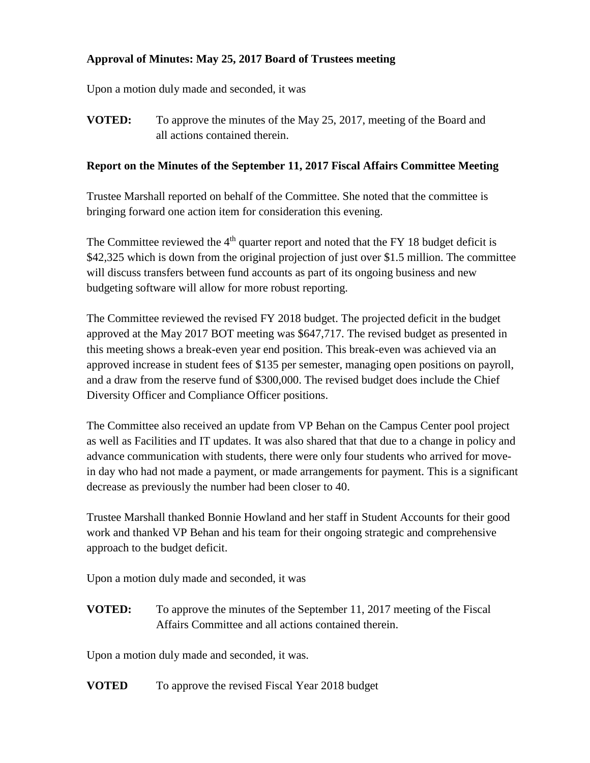## **Approval of Minutes: May 25, 2017 Board of Trustees meeting**

Upon a motion duly made and seconded, it was

**VOTED:** To approve the minutes of the May 25, 2017, meeting of the Board and all actions contained therein.

### **Report on the Minutes of the September 11, 2017 Fiscal Affairs Committee Meeting**

Trustee Marshall reported on behalf of the Committee. She noted that the committee is bringing forward one action item for consideration this evening.

The Committee reviewed the  $4<sup>th</sup>$  quarter report and noted that the FY 18 budget deficit is \$42,325 which is down from the original projection of just over \$1.5 million. The committee will discuss transfers between fund accounts as part of its ongoing business and new budgeting software will allow for more robust reporting.

The Committee reviewed the revised FY 2018 budget. The projected deficit in the budget approved at the May 2017 BOT meeting was \$647,717. The revised budget as presented in this meeting shows a break-even year end position. This break-even was achieved via an approved increase in student fees of \$135 per semester, managing open positions on payroll, and a draw from the reserve fund of \$300,000. The revised budget does include the Chief Diversity Officer and Compliance Officer positions.

The Committee also received an update from VP Behan on the Campus Center pool project as well as Facilities and IT updates. It was also shared that that due to a change in policy and advance communication with students, there were only four students who arrived for movein day who had not made a payment, or made arrangements for payment. This is a significant decrease as previously the number had been closer to 40.

Trustee Marshall thanked Bonnie Howland and her staff in Student Accounts for their good work and thanked VP Behan and his team for their ongoing strategic and comprehensive approach to the budget deficit.

Upon a motion duly made and seconded, it was

**VOTED:** To approve the minutes of the September 11, 2017 meeting of the Fiscal Affairs Committee and all actions contained therein.

Upon a motion duly made and seconded, it was.

**VOTED** To approve the revised Fiscal Year 2018 budget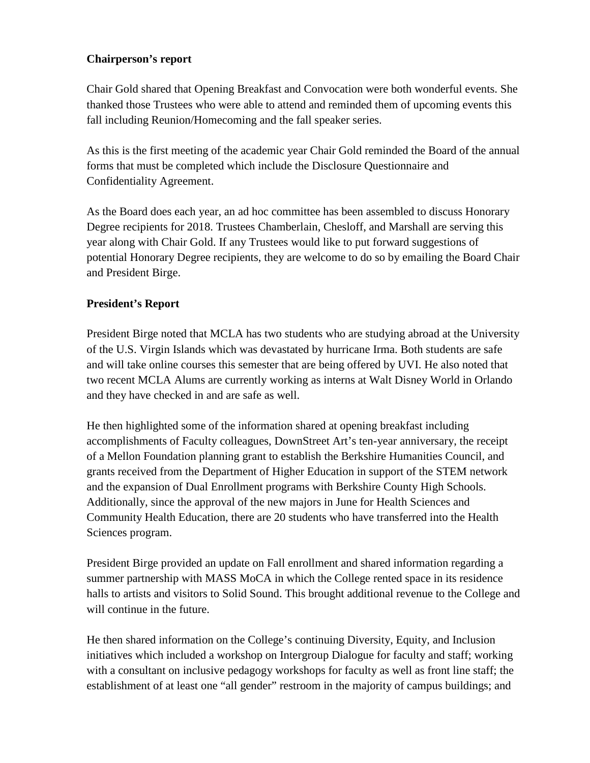## **Chairperson's report**

Chair Gold shared that Opening Breakfast and Convocation were both wonderful events. She thanked those Trustees who were able to attend and reminded them of upcoming events this fall including Reunion/Homecoming and the fall speaker series.

As this is the first meeting of the academic year Chair Gold reminded the Board of the annual forms that must be completed which include the Disclosure Questionnaire and Confidentiality Agreement.

As the Board does each year, an ad hoc committee has been assembled to discuss Honorary Degree recipients for 2018. Trustees Chamberlain, Chesloff, and Marshall are serving this year along with Chair Gold. If any Trustees would like to put forward suggestions of potential Honorary Degree recipients, they are welcome to do so by emailing the Board Chair and President Birge.

#### **President's Report**

President Birge noted that MCLA has two students who are studying abroad at the University of the U.S. Virgin Islands which was devastated by hurricane Irma. Both students are safe and will take online courses this semester that are being offered by UVI. He also noted that two recent MCLA Alums are currently working as interns at Walt Disney World in Orlando and they have checked in and are safe as well.

He then highlighted some of the information shared at opening breakfast including accomplishments of Faculty colleagues, DownStreet Art's ten-year anniversary, the receipt of a Mellon Foundation planning grant to establish the Berkshire Humanities Council, and grants received from the Department of Higher Education in support of the STEM network and the expansion of Dual Enrollment programs with Berkshire County High Schools. Additionally, since the approval of the new majors in June for Health Sciences and Community Health Education, there are 20 students who have transferred into the Health Sciences program.

President Birge provided an update on Fall enrollment and shared information regarding a summer partnership with MASS MoCA in which the College rented space in its residence halls to artists and visitors to Solid Sound. This brought additional revenue to the College and will continue in the future.

He then shared information on the College's continuing Diversity, Equity, and Inclusion initiatives which included a workshop on Intergroup Dialogue for faculty and staff; working with a consultant on inclusive pedagogy workshops for faculty as well as front line staff; the establishment of at least one "all gender" restroom in the majority of campus buildings; and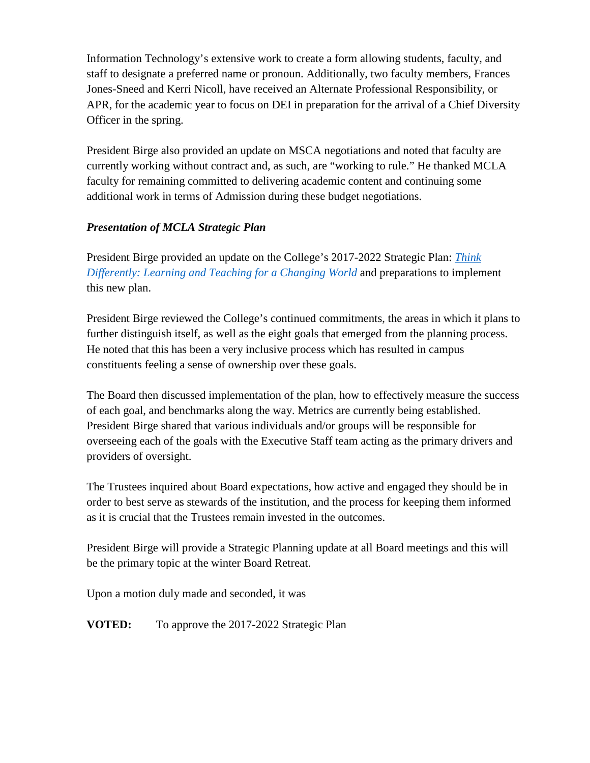Information Technology's extensive work to create a form allowing students, faculty, and staff to designate a preferred name or pronoun. Additionally, two faculty members, Frances Jones-Sneed and Kerri Nicoll, have received an Alternate Professional Responsibility, or APR, for the academic year to focus on DEI in preparation for the arrival of a Chief Diversity Officer in the spring.

President Birge also provided an update on MSCA negotiations and noted that faculty are currently working without contract and, as such, are "working to rule." He thanked MCLA faculty for remaining committed to delivering academic content and continuing some additional work in terms of Admission during these budget negotiations.

## *Presentation of MCLA Strategic Plan*

President Birge provided an update on the College's 2017-2022 Strategic Plan: *[Think](http://www.mcla.edu/Assets/MCLA-Files/Presidential-Search-/presidents-page/MCLA%20SP%209.28.pdf)  [Differently: Learning and Teaching for a Changing](http://www.mcla.edu/Assets/MCLA-Files/Presidential-Search-/presidents-page/MCLA%20SP%209.28.pdf) World* and preparations to implement this new plan.

President Birge reviewed the College's continued commitments, the areas in which it plans to further distinguish itself, as well as the eight goals that emerged from the planning process. He noted that this has been a very inclusive process which has resulted in campus constituents feeling a sense of ownership over these goals.

The Board then discussed implementation of the plan, how to effectively measure the success of each goal, and benchmarks along the way. Metrics are currently being established. President Birge shared that various individuals and/or groups will be responsible for overseeing each of the goals with the Executive Staff team acting as the primary drivers and providers of oversight.

The Trustees inquired about Board expectations, how active and engaged they should be in order to best serve as stewards of the institution, and the process for keeping them informed as it is crucial that the Trustees remain invested in the outcomes.

President Birge will provide a Strategic Planning update at all Board meetings and this will be the primary topic at the winter Board Retreat.

Upon a motion duly made and seconded, it was

**VOTED:** To approve the 2017-2022 Strategic Plan